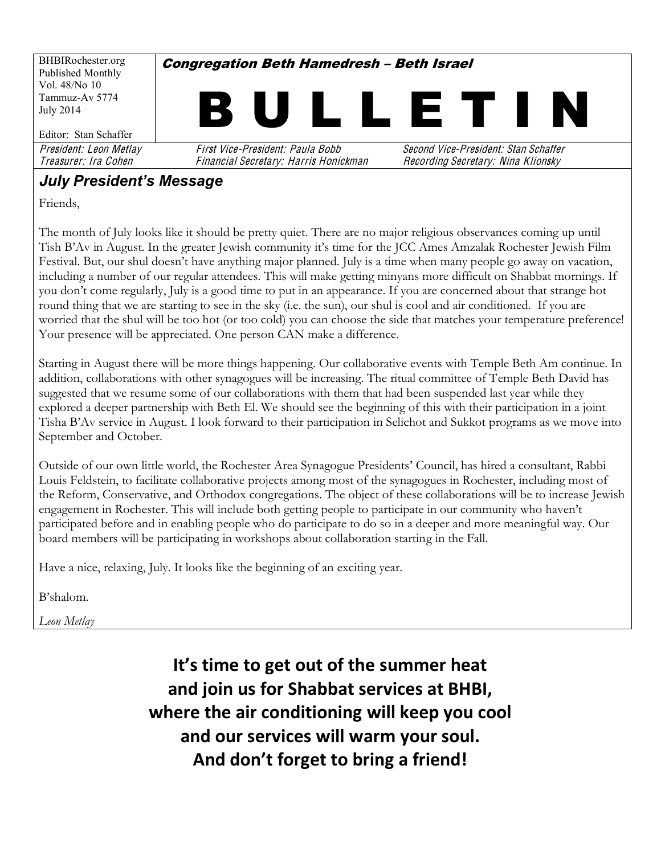BHBIRochester.org Published Monthly Vol. 48/No 10 Tammuz-Av 5774 July 2014 Editor: Stan Schaffer **Congregation Beth Hamedresh - Beth Israel** L L E 1 President: Leon Metlay First Vice-President: Paula Bobb Second Vice-President: Stan Schaffe<sup>r</sup> Treasurer: Ira Cohe<sup>n</sup> Financial Secretary: Harri<sup>s</sup> Honickman Recording Secretary: Nina Klionsky

## **July President's Message**

Friends,

The month of July looks like it should be pretty quiet. There are no major religious observances coming up until Tish B'Av in August. In the greater Jewish community it's time for the JCC Ames Amzalak Rochester Jewish Film Festival. But, our shul doesn't have anything major planned. July is a time when many people go away on vacation, including a number of our regular attendees. This will make getting minyans more difficult on Shabbat mornings. If you don't come regularly, July is a good time to put in an appearance. If you are concerned about that strange hot round thing that we are starting to see in the sky (i.e. the sun), our shul is cool and air conditioned. If you are worried that the shul will be too hot (or too cold) you can choose the side that matches your temperature preference! Your presence will be appreciated. One person CAN make a difference.

Starting in August there will be more things happening. Our collaborative events with Temple Beth Am continue. In addition, collaborations with other synagogues will be increasing. The ritual committee of Temple Beth David has suggested that we resume some of our collaborations with them that had been suspended last year while they explored a deeper partnership with Beth El. We should see the beginning of this with their participation in a joint Tisha B'Av service in August. I look forward to their participation in Selichot and Sukkot programs as we move into September and October.

Outside of our own little world, the Rochester Area Synagogue Presidents· Council, has hired a consultant, Rabbi Louis Feldstein, to facilitate collaborative projects among most of the synagogues in Rochester, including most of the Reform, Conservative, and Orthodox congregations. The object of these collaborations will be to increase Jewish engagement in Rochester. This will include both getting people to participate in our community who haven't participated before and in enabling people who do participate to do so in a deeper and more meaningful way. Our board members will be participating in workshops about collaboration starting in the Fall.

Have a nice, relaxing, July. It looks like the beginning of an exciting year.

B'shalom.

*Leon Metlay*

It's time to get out of the summer heat and join us for Shabbat services at BHBI, where the air conditioning will keep you cool and our services will warm your soul. And don't forget to bring a friend!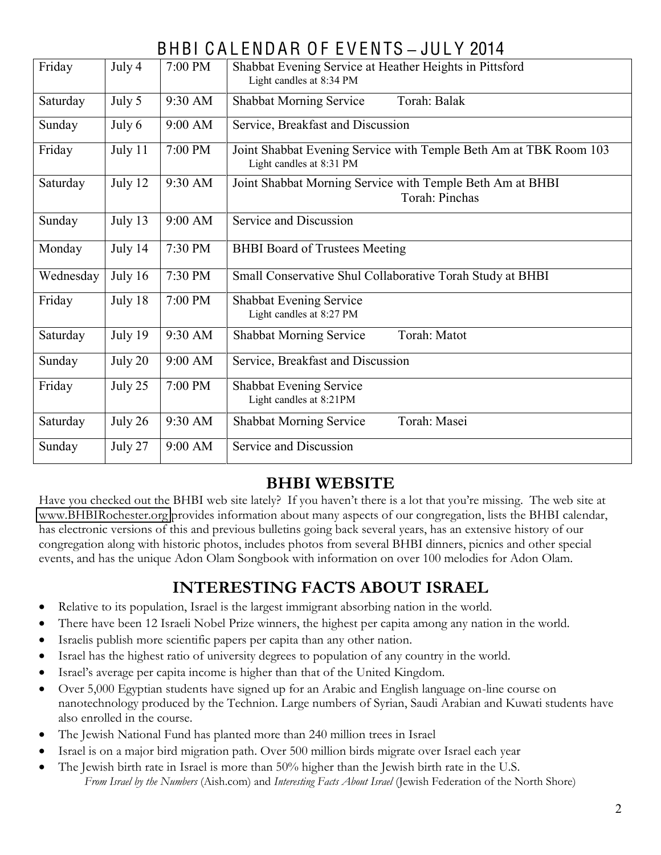# BHBI C A L ENDAR O F E V ENTS **±** JUL Y 2014

| Friday    | July 4  | 7:00 PM | Shabbat Evening Service at Heather Heights in Pittsford<br>Light candles at 8:34 PM           |
|-----------|---------|---------|-----------------------------------------------------------------------------------------------|
| Saturday  | July 5  | 9:30 AM | Torah: Balak<br><b>Shabbat Morning Service</b>                                                |
| Sunday    | July 6  | 9:00 AM | Service, Breakfast and Discussion                                                             |
| Friday    | July 11 | 7:00 PM | Joint Shabbat Evening Service with Temple Beth Am at TBK Room 103<br>Light candles at 8:31 PM |
| Saturday  | July 12 | 9:30 AM | Joint Shabbat Morning Service with Temple Beth Am at BHBI<br>Torah: Pinchas                   |
| Sunday    | July 13 | 9:00 AM | Service and Discussion                                                                        |
| Monday    | July 14 | 7:30 PM | <b>BHBI</b> Board of Trustees Meeting                                                         |
| Wednesday | July 16 | 7:30 PM | Small Conservative Shul Collaborative Torah Study at BHBI                                     |
| Friday    | July 18 | 7:00 PM | <b>Shabbat Evening Service</b><br>Light candles at 8:27 PM                                    |
| Saturday  | July 19 | 9:30 AM | <b>Shabbat Morning Service</b><br>Torah: Matot                                                |
| Sunday    | July 20 | 9:00 AM | Service, Breakfast and Discussion                                                             |
| Friday    | July 25 | 7:00 PM | Shabbat Evening Service<br>Light candles at 8:21PM                                            |
| Saturday  | July 26 | 9:30 AM | Torah: Masei<br><b>Shabbat Morning Service</b>                                                |
| Sunday    | July 27 | 9:00 AM | Service and Discussion                                                                        |

### **BHBI WEBSITE**

Have you checked out the BHBI web site lately? If you haven't there is a lot that you're missing. The web site at [www.BHBIRochester.org](http://www.bhbirochester.org/) provides information about many aspects of our congregation, lists the BHBI calendar, has electronic versions of this and previous bulletins going back several years, has an extensive history of our congregation along with historic photos, includes photos from several BHBI dinners, picnics and other special events, and has the unique Adon Olam Songbook with information on over 100 melodies for Adon Olam.

# **INTERESTING FACTS ABOUT ISRAEL**

- Relative to its population, Israel is the largest immigrant absorbing nation in the world.
- There have been 12 Israeli Nobel Prize winners, the highest per capita among any nation in the world.
- Israelis publish more scientific papers per capita than any other nation.
- Israel has the highest ratio of university degrees to population of any country in the world.
- Israel's average per capita income is higher than that of the United Kingdom.
- Over 5,000 Egyptian students have signed up for an Arabic and English language on-line course on nanotechnology produced by the Technion. Large numbers of Syrian, Saudi Arabian and Kuwati students have also enrolled in the course.
- The Jewish National Fund has planted more than 240 million trees in Israel
- Israel is on a major bird migration path. Over 500 million birds migrate over Israel each year
- $\bullet$  The Jewish birth rate in Israel is more than 50% higher than the Jewish birth rate in the U.S. *From Israel by the Numbers* (Aish.com) and *Interesting Facts About Israel* (Jewish Federation of the North Shore)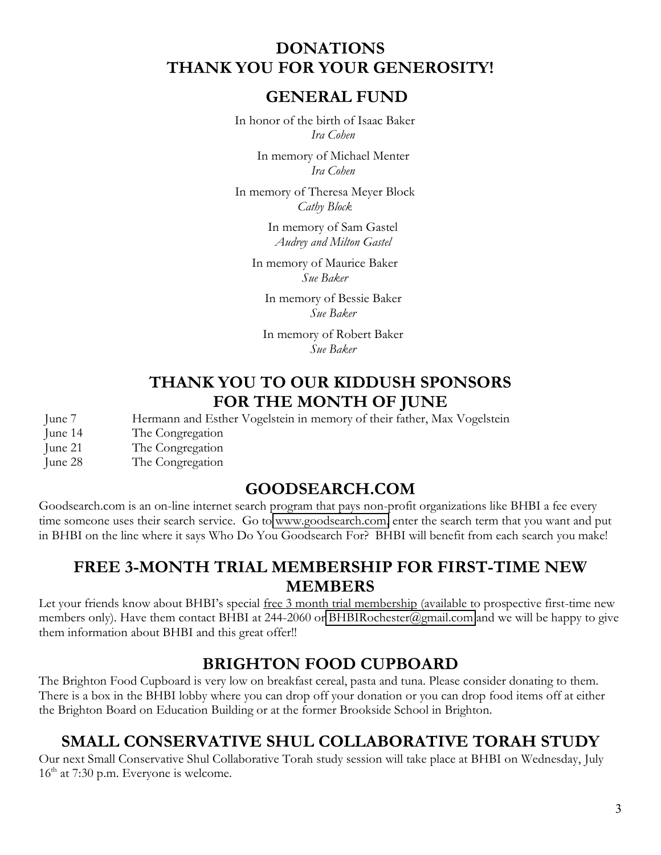#### **DONATIONS THANK YOU FOR YOUR GENEROSITY!**

#### **GENERAL FUND**

In honor of the birth of Isaac Baker *Ira Cohen*

> In memory of Michael Menter *Ira Cohen*

In memory of Theresa Meyer Block *Cathy Block*

> In memory of Sam Gastel *Audrey and Milton Gastel*

In memory of Maurice Baker *Sue Baker*

In memory of Bessie Baker *Sue Baker*

In memory of Robert Baker *Sue Baker*

#### **THANK YOU TO OUR KIDDUSH SPONSORS FOR THE MONTH OF JUNE**

June 7 Hermann and Esther Vogelstein in memory of their father, Max Vogelstein

June 14 The Congregation

June 21 The Congregation

June 28 The Congregation

#### **GOODSEARCH.COM**

Goodsearch.com is an on-line internet search program that pays non-profit organizations like BHBI a fee every time someone uses their search service. Go to [www.goodsearch.com,](http://www.goodsearch.com/) enter the search term that you want and put in BHBI on the line where it says Who Do You Goodsearch For? BHBI will benefit from each search you make!

### **FREE 3-MONTH TRIAL MEMBERSHIP FOR FIRST-TIME NEW MEMBERS**

Let your friends know about BHBI's special free 3 month trial membership (available to prospective first-time new members only). Have them contact BHBI at 244-2060 or [BHBIRochester@gmail.com](mailto:BHBIRochester@gmail.com) and we will be happy to give them information about BHBI and this great offer!!

### **BRIGHTON FOOD CUPBOARD**

The Brighton Food Cupboard is very low on breakfast cereal, pasta and tuna. Please consider donating to them. There is a box in the BHBI lobby where you can drop off your donation or you can drop food items off at either the Brighton Board on Education Building or at the former Brookside School in Brighton.

### **SMALL CONSERVATIVE SHUL COLLABORATIVE TORAH STUDY**

Our next Small Conservative Shul Collaborative Torah study session will take place at BHBI on Wednesday, July  $16<sup>th</sup>$  at 7:30 p.m. Everyone is welcome.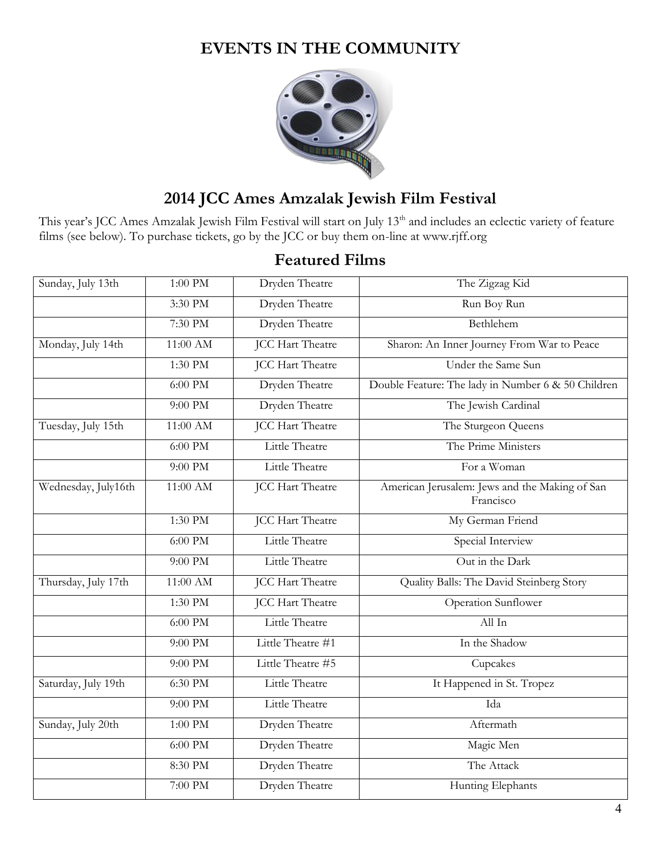## **EVENTS IN THE COMMUNITY**



# **2014 JCC Ames Amzalak Jewish Film Festival**

This year's JCC Ames Amzalak Jewish Film Festival will start on July 13<sup>th</sup> and includes an eclectic variety of feature films (see below). To purchase tickets, go by the JCC or buy them on-line at www.rjff.org

### **Featured Films**

| Sunday, July 13th   | $1:00$ PM  | Dryden Theatre          | The Zigzag Kid                                              |  |  |
|---------------------|------------|-------------------------|-------------------------------------------------------------|--|--|
|                     | 3:30 PM    | Dryden Theatre          | Run Boy Run                                                 |  |  |
|                     | 7:30 PM    | Dryden Theatre          | Bethlehem                                                   |  |  |
| Monday, July 14th   | $11:00$ AM | <b>JCC Hart Theatre</b> | Sharon: An Inner Journey From War to Peace                  |  |  |
|                     | 1:30 PM    | <b>JCC Hart Theatre</b> | Under the Same Sun                                          |  |  |
|                     | $6:00$ PM  | Dryden Theatre          | Double Feature: The lady in Number 6 & 50 Children          |  |  |
|                     | 9:00 PM    | Dryden Theatre          | The Jewish Cardinal                                         |  |  |
| Tuesday, July 15th  | 11:00 AM   | <b>JCC Hart Theatre</b> | The Sturgeon Queens                                         |  |  |
|                     | $6:00$ PM  | Little Theatre          | The Prime Ministers                                         |  |  |
|                     | 9:00 PM    | Little Theatre          | For a Woman                                                 |  |  |
| Wednesday, July16th | $11:00$ AM | <b>JCC Hart Theatre</b> | American Jerusalem: Jews and the Making of San<br>Francisco |  |  |
|                     | 1:30 PM    | <b>JCC Hart Theatre</b> | My German Friend                                            |  |  |
|                     | $6:00$ PM  | Little Theatre          | Special Interview                                           |  |  |
|                     | 9:00 PM    | Little Theatre          | Out in the Dark                                             |  |  |
| Thursday, July 17th | 11:00 AM   | <b>JCC Hart Theatre</b> | Quality Balls: The David Steinberg Story                    |  |  |
|                     | 1:30 PM    | <b>JCC Hart Theatre</b> | Operation Sunflower                                         |  |  |
|                     | $6:00$ PM  | Little Theatre          | All In                                                      |  |  |
|                     | 9:00 PM    | Little Theatre #1       | In the Shadow                                               |  |  |
|                     | 9:00 PM    | Little Theatre #5       | Cupcakes                                                    |  |  |
| Saturday, July 19th | 6:30 PM    | Little Theatre          | It Happened in St. Tropez                                   |  |  |
|                     | 9:00 PM    | Little Theatre          | Ida                                                         |  |  |
| Sunday, July 20th   | $1:00$ PM  | Dryden Theatre          | Aftermath                                                   |  |  |
|                     | $6:00$ PM  | Dryden Theatre          | Magic Men                                                   |  |  |
|                     | 8:30 PM    | Dryden Theatre          | The Attack                                                  |  |  |
|                     | 7:00 PM    | Dryden Theatre          | Hunting Elephants                                           |  |  |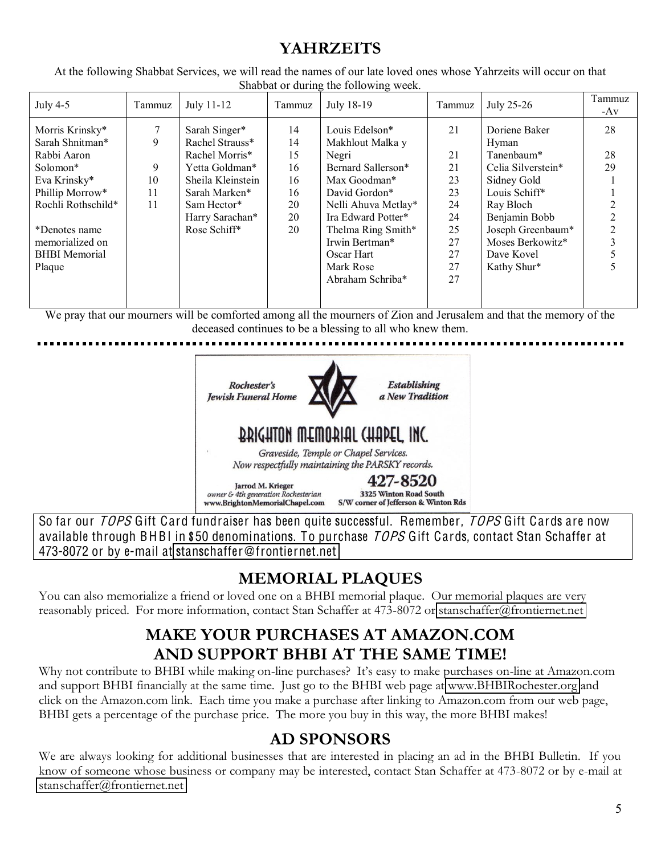### **YAHRZEITS**

At the following Shabbat Services, we will read the names of our late loved ones whose Yahrzeits will occur on that Shabbat or during the following week.

| July $4-5$           | Tammuz | July 11-12        | Tammuz | July 18-19          | Tammuz | July 25-26         | Tammuz<br>-Av  |
|----------------------|--------|-------------------|--------|---------------------|--------|--------------------|----------------|
| Morris Krinsky*      |        | Sarah Singer*     | 14     | Louis Edelson*      | 21     | Doriene Baker      | 28             |
| Sarah Shnitman*      | 9      | Rachel Strauss*   | 14     | Makhlout Malka y    |        | Hyman              |                |
| Rabbi Aaron          |        | Rachel Morris*    | 15     | Negri               | 21     | Tanenbaum*         | 28             |
| Solomon*             | 9      | Yetta Goldman*    | 16     | Bernard Sallerson*  | 21     | Celia Silverstein* | 29             |
| Eva Krinsky*         | 10     | Sheila Kleinstein | 16     | Max Goodman*        | 23     | Sidney Gold        |                |
| Phillip Morrow*      | 11     | Sarah Marken*     | 16     | David Gordon*       | 23     | Louis Schiff*      |                |
| Rochli Rothschild*   | 11     | Sam Hector*       | 20     | Nelli Ahuva Metlay* | 24     | Ray Bloch          |                |
|                      |        | Harry Sarachan*   | 20     | Ira Edward Potter*  | 24     | Benjamin Bobb      |                |
| *Denotes name        |        | Rose Schiff*      | 20     | Thelma Ring Smith*  | 25     | Joseph Greenbaum*  | $\overline{2}$ |
| memorialized on      |        |                   |        | Irwin Bertman*      | 27     | Moses Berkowitz*   |                |
| <b>BHBI</b> Memorial |        |                   |        | Oscar Hart          | 27     | Dave Kovel         |                |
| Plaque               |        |                   |        | Mark Rose           | 27     | Kathy Shur*        | 5              |
|                      |        |                   |        | Abraham Schriba*    | 27     |                    |                |
|                      |        |                   |        |                     |        |                    |                |

We pray that our mourners will be comforted among all the mourners of Zion and Jerusalem and that the memory of the deceased continues to be a blessing to all who knew them.



So far our TOPS Gift Card fundraiser has been quite successful. Remember, TOPS Gift Cards are now available through BHBI in \$50 denominations. To purchase *TOPS* Gift Cards, contact Stan Schaffer at 473-8072 or by e-mail at stanschaffe[r@fronti](mailto:stanschaffer@frontiernet.net)ernet.net

# **MEMORIAL PLAQUES**

You can also memorialize a friend or loved one on a BHBI memorial plaque. Our memorial plaques are very reasonably priced. For more information, contact Stan Schaffer at 473-8072 or [stanschaffer@frontiernet.net](mailto:stanschaffer@frontiernet.net)

## **MAKE YOUR PURCHASES AT AMAZON.COM AND SUPPORT BHBI AT THE SAME TIME!**

Why not contribute to BHBI while making on-line purchases? It's easy to make purchases on-line at Amazon.com and support BHBI financially at the same time. Just go to the BHBI web page at [www.BHBIRochester.org](http://www.bhbirochester.org/) and click on the Amazon.com link. Each time you make a purchase after linking to Amazon.com from our web page, BHBI gets a percentage of the purchase price. The more you buy in this way, the more BHBI makes!

### **AD SPONSORS**

We are always looking for additional businesses that are interested in placing an ad in the BHBI Bulletin. If you know of someone whose business or company may be interested, contact Stan Schaffer at 473-8072 or by e-mail at [stanschaffer@frontiernet.net](mailto:stanschaffer@frontiernet.net)